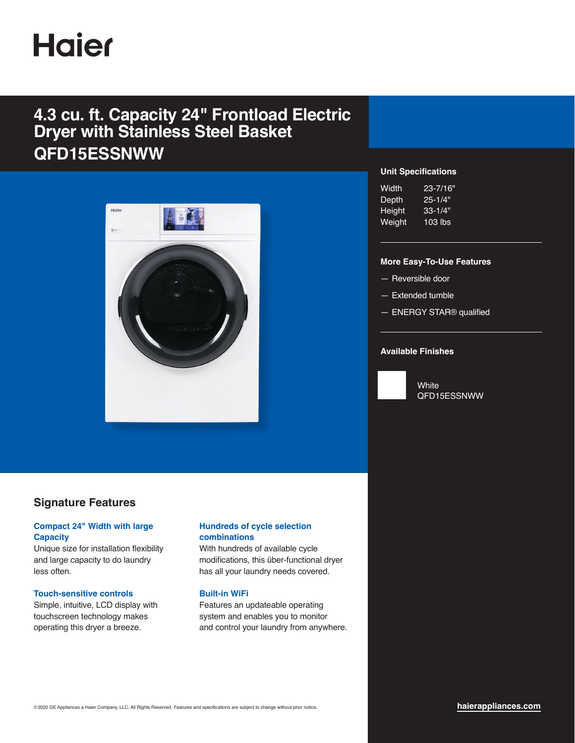# **Haier**

## **4.3 cu. ft. Capacity 24" Frontload Electric Dryer with Stainless Steel Basket QFD15ESSNWW**



### **Signature Features**

#### **Compact 24" Width with large Capacity**

Unique size for installation flexibility and large capacity to do laundry less often.

#### **Touch-sensitive controls**

Simple, intuitive, LCD display with touchscreen technology makes operating this dryer a breeze.

#### **Hundreds of cycle selection combinations**

With hundreds of available cycle modifications, this über-functional dryer has all your laundry needs covered.

#### **Built-in WiFi**

Features an updateable operating system and enables you to monitor and control your laundry from anywhere.

#### **Unit Specifications**

| Width  | ,23-7/16" |
|--------|-----------|
| Depth  | 25-1/4"   |
| Height | 33-1/4"   |
| Weight | $103$ lbs |

#### **More Easy-To-Use Features**

- Reversible door
- Extended tumble
- ENERGY STAR® qualified

#### **Available Finishes**



**White** QFD15ESSNWW